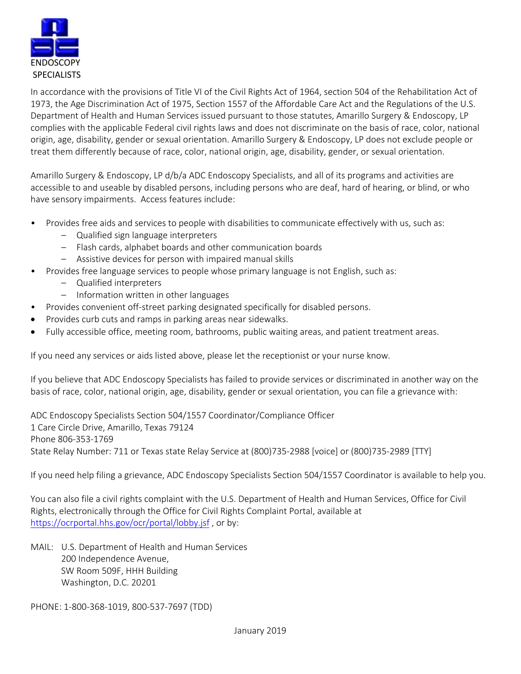

In accordance with the provisions of Title VI of the Civil Rights Act of 1964, section 504 of the Rehabilitation Act of 1973, the Age Discrimination Act of 1975, Section 1557 of the Affordable Care Act and the Regulations of the U.S. Department of Health and Human Services issued pursuant to those statutes, Amarillo Surgery & Endoscopy, LP complies with the applicable Federal civil rights laws and does not discriminate on the basis of race, color, national origin, age, disability, gender or sexual orientation. Amarillo Surgery & Endoscopy, LP does not exclude people or treat them differently because of race, color, national origin, age, disability, gender, or sexual orientation.

Amarillo Surgery & Endoscopy, LP d/b/a ADC Endoscopy Specialists, and all of its programs and activities are accessible to and useable by disabled persons, including persons who are deaf, hard of hearing, or blind, or who have sensory impairments. Access features include:

- Provides free aids and services to people with disabilities to communicate effectively with us, such as:
	- Qualified sign language interpreters
	- Flash cards, alphabet boards and other communication boards
	- Assistive devices for person with impaired manual skills
- Provides free language services to people whose primary language is not English, such as:
	- Qualified interpreters
	- Information written in other languages
- Provides convenient off‐street parking designated specifically for disabled persons.
- Provides curb cuts and ramps in parking areas near sidewalks.
- Fully accessible office, meeting room, bathrooms, public waiting areas, and patient treatment areas.

If you need any services or aids listed above, please let the receptionist or your nurse know.

If you believe that ADC Endoscopy Specialists has failed to provide services or discriminated in another way on the basis of race, color, national origin, age, disability, gender or sexual orientation, you can file a grievance with:

ADC Endoscopy Specialists Section 504/1557 Coordinator/Compliance Officer 1 Care Circle Drive, Amarillo, Texas 79124 Phone 806‐353‐1769 State Relay Number: 711 or Texas state Relay Service at (800)735‐2988 [voice] or (800)735‐2989 [TTY]

If you need help filing a grievance, ADC Endoscopy Specialists Section 504/1557 Coordinator is available to help you.

You can also file a civil rights complaint with the U.S. Department of Health and Human Services, Office for Civil Rights, electronically through the Office for Civil Rights Complaint Portal, available at https://ocrportal.hhs.gov/ocr/portal/lobby.jsf , or by:

MAIL: U.S. Department of Health and Human Services 200 Independence Avenue, SW Room 509F, HHH Building Washington, D.C. 20201

PHONE: 1‐800‐368‐1019, 800‐537‐7697 (TDD)